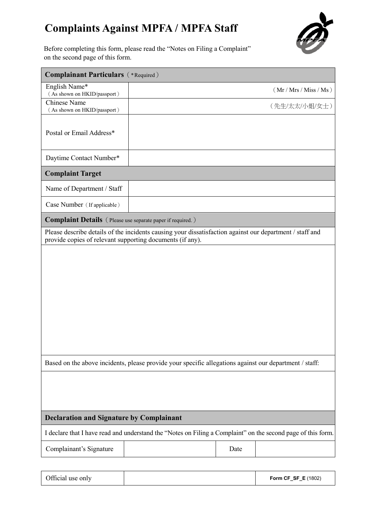## **Complaints Against MPFA / MPFA Staff**



Before completing this form, please read the "Notes on Filing a Complaint" on the second page of this form.

| <b>Complainant Particulars</b> (*Required)                                                                                                                            |  |      |                        |  |
|-----------------------------------------------------------------------------------------------------------------------------------------------------------------------|--|------|------------------------|--|
| English Name*<br>(As shown on HKID/passport)                                                                                                                          |  |      | (Mr / Mrs / Miss / Ms) |  |
| <b>Chinese Name</b><br>(As shown on HKID/passport)                                                                                                                    |  |      | (先生/太太/小姐/女士)          |  |
| Postal or Email Address*                                                                                                                                              |  |      |                        |  |
| Daytime Contact Number*                                                                                                                                               |  |      |                        |  |
| <b>Complaint Target</b>                                                                                                                                               |  |      |                        |  |
| Name of Department / Staff                                                                                                                                            |  |      |                        |  |
| Case Number (If applicable)                                                                                                                                           |  |      |                        |  |
| <b>Complaint Details</b> (Please use separate paper if required.)                                                                                                     |  |      |                        |  |
| Please describe details of the incidents causing your dissatisfaction against our department / staff and<br>provide copies of relevant supporting documents (if any). |  |      |                        |  |
|                                                                                                                                                                       |  |      |                        |  |
|                                                                                                                                                                       |  |      |                        |  |
|                                                                                                                                                                       |  |      |                        |  |
|                                                                                                                                                                       |  |      |                        |  |
|                                                                                                                                                                       |  |      |                        |  |
|                                                                                                                                                                       |  |      |                        |  |
|                                                                                                                                                                       |  |      |                        |  |
| Based on the above incidents, please provide your specific allegations against our department / staff:                                                                |  |      |                        |  |
|                                                                                                                                                                       |  |      |                        |  |
|                                                                                                                                                                       |  |      |                        |  |
|                                                                                                                                                                       |  |      |                        |  |
| <b>Declaration and Signature by Complainant</b>                                                                                                                       |  |      |                        |  |
| I declare that I have read and understand the "Notes on Filing a Complaint" on the second page of this form.                                                          |  |      |                        |  |
| Complainant's Signature                                                                                                                                               |  | Date |                        |  |
|                                                                                                                                                                       |  |      |                        |  |

| Official use only |  | <b>Form CF_SF_E (1802)</b> |
|-------------------|--|----------------------------|
|-------------------|--|----------------------------|